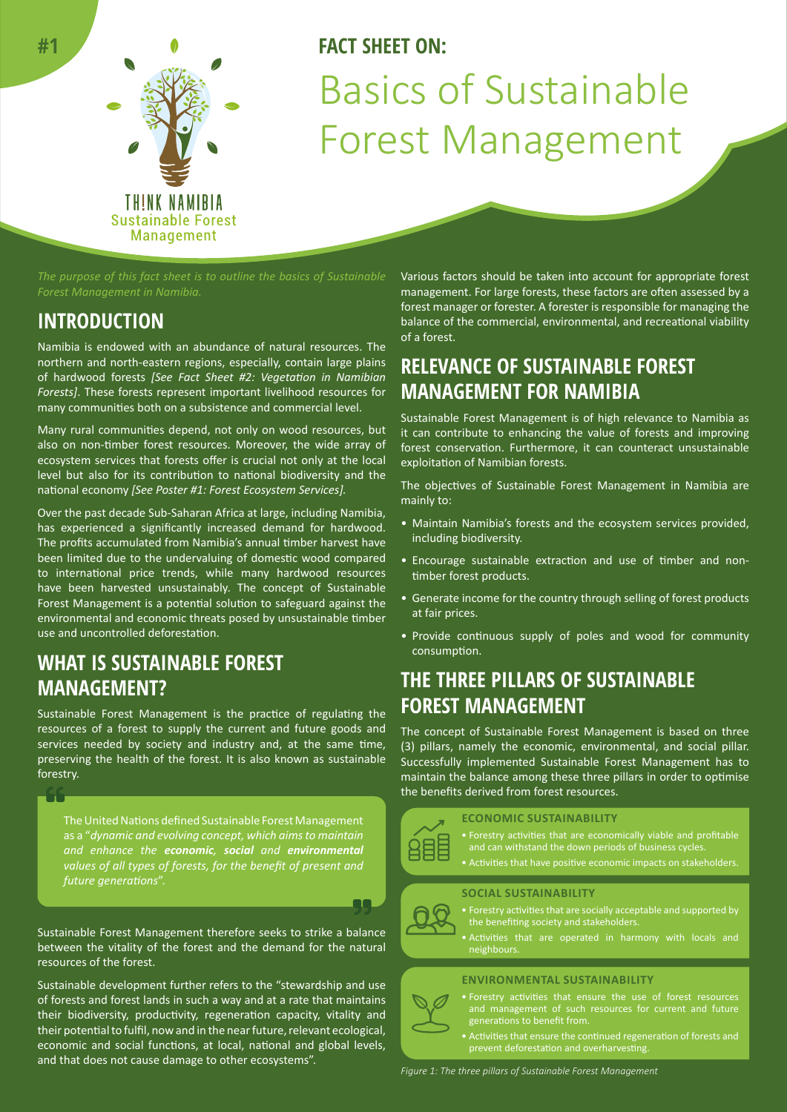

# **FACT SHEET ON:** Basics of Sustainable Forest Management

*Forest Management in Namibia.* 

### **INTRODUCTION**

Namibia is endowed with an abundance of natural resources. The northern and north-eastern regions, especially, contain large plains of hardwood forests *[See Fact Sheet #2: Vegetation in Namibian Forests]*. These forests represent important livelihood resources for many communities both on a subsistence and commercial level.

Many rural communities depend, not only on wood resources, but also on non-timber forest resources. Moreover, the wide array of ecosystem services that forests offer is crucial not only at the local level but also for its contribution to national biodiversity and the national economy *[See Poster #1: Forest Ecosystem Services].*

Over the past decade Sub-Saharan Africa at large, including Namibia, has experienced a significantly increased demand for hardwood. The profits accumulated from Namibia's annual timber harvest have been limited due to the undervaluing of domestic wood compared to international price trends, while many hardwood resources have been harvested unsustainably. The concept of Sustainable Forest Management is a potential solution to safeguard against the environmental and economic threats posed by unsustainable timber use and uncontrolled deforestation.

### **WHAT IS SUSTAINABLE FOREST MANAGEMENT?**

Sustainable Forest Management is the practice of regulating the resources of a forest to supply the current and future goods and services needed by society and industry and, at the same time, preserving the health of the forest. It is also known as sustainable forestry.

The United Nations defined Sustainable Forest Management as a "*dynamic and evolving concept, which aims to maintain and enhance the economic, social and environmental values of all types of forests, for the benefit of present and future generations*".

Sustainable Forest Management therefore seeks to strike a balance between the vitality of the forest and the demand for the natural resources of the forest.

Sustainable development further refers to the "stewardship and use of forests and forest lands in such a way and at a rate that maintains their biodiversity, productivity, regeneration capacity, vitality and their potential to fulfil, now and in the near future, relevant ecological, economic and social functions, at local, national and global levels, and that does not cause damage to other ecosystems".

Various factors should be taken into account for appropriate forest management. For large forests, these factors are often assessed by a forest manager or forester. A forester is responsible for managing the balance of the commercial, environmental, and recreational viability of a forest.

### **RELEVANCE OF SUSTAINABLE FOREST MANAGEMENT FOR NAMIBIA**

Sustainable Forest Management is of high relevance to Namibia as it can contribute to enhancing the value of forests and improving forest conservation. Furthermore, it can counteract unsustainable exploitation of Namibian forests.

The objectives of Sustainable Forest Management in Namibia are mainly to:

- Maintain Namibia's forests and the ecosystem services provided, including biodiversity.
- Encourage sustainable extraction and use of timber and nontimber forest products.
- Generate income for the country through selling of forest products at fair prices.
- Provide continuous supply of poles and wood for community consumption.

### **THE THREE PILLARS OF SUSTAINABLE FOREST MANAGEMENT**

The concept of Sustainable Forest Management is based on three (3) pillars, namely the economic, environmental, and social pillar. Successfully implemented Sustainable Forest Management has to maintain the balance among these three pillars in order to optimise the benefits derived from forest resources.



#### **ECONOMIC SUSTAINABILITY**

- 
- 
- Activities that have positive economic impacts on stakeholders.

#### **SOCIAL SUSTAINABILITY**

- Forestry activities that are socially acceptable and supported by the benefiting society and stakeholders.
	- Activities that are operated in harmony with locals and

#### **ENVIRONMENTAL SUSTAINABILITY**

- and management of such resources for current and future generations to benefit from.
- Activities that ensure the continued regeneration of forests and prevent deforestation and overharvesting.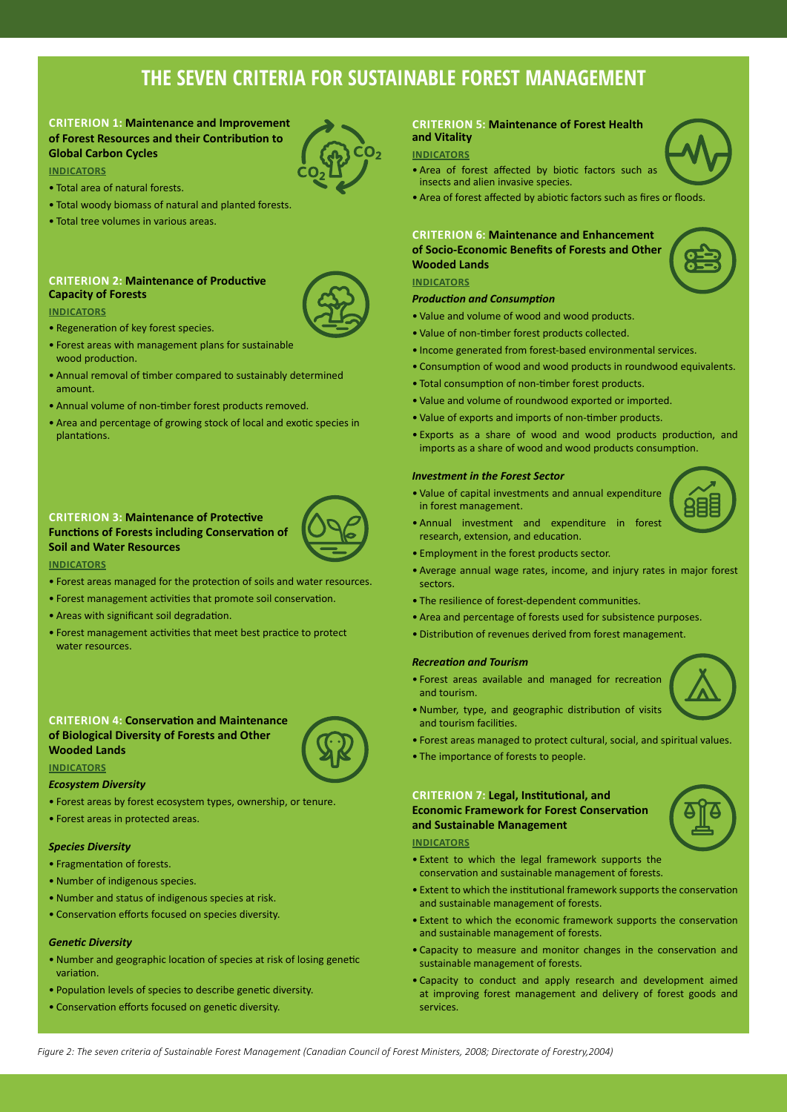## **THE SEVEN CRITERIA FOR SUSTAINABLE FOREST MANAGEMENT**

### **CRITERION 1: Maintenance and Improvement of Forest Resources and their Contribution to Global Carbon Cycles**

#### **INDICATORS**

- Total area of natural forests.
- Total woody biomass of natural and planted forests.
- Total tree volumes in various areas.

#### **CRITERION 2: Maintenance of Productive Capacity of Forests**

#### **INDICATORS**

- Regeneration of key forest species.
- Forest areas with management plans for sustainable wood production.
- Annual removal of timber compared to sustainably determined amount.
- Annual volume of non-timber forest products removed.
- Area and percentage of growing stock of local and exotic species in plantations.

#### **CRITERION 3: Maintenance of Protective Functions of Forests including Conservation of Soil and Water Resources**



#### **INDICATORS**

- Forest areas managed for the protection of soils and water resources.
- Forest management activities that promote soil conservation.
- Areas with significant soil degradation.
- Forest management activities that meet best practice to protect water resources.

#### **CRITERION 4: Conservation and Maintenance of Biological Diversity of Forests and Other Wooded Lands**



*Ecosystem Diversity*

- Forest areas by forest ecosystem types, ownership, or tenure.
- Forest areas in protected areas.

#### *Species Diversity*

- Fragmentation of forests.
- Number of indigenous species.
- Number and status of indigenous species at risk.
- Conservation efforts focused on species diversity.

#### *Genetic Diversity*

- Number and geographic location of species at risk of losing genetic variation.
- Population levels of species to describe genetic diversity.
- Conservation efforts focused on genetic diversity.

#### **CRITERION 5: Maintenance of Forest Health and Vitality**

#### **INDICATORS**

- Area of forest affected by biotic factors such as insects and alien invasive species.
- Area of forest affected by abiotic factors such as fires or floods.

#### **CRITERION 6: Maintenance and Enhancement of Socio-Economic Benefits of Forests and Other Wooded Lands**

#### **INDICATORS**

#### *Production and Consumption*

- Value and volume of wood and wood products.
- Value of non-timber forest products collected.
- Income generated from forest-based environmental services.
- Consumption of wood and wood products in roundwood equivalents.
- Total consumption of non-timber forest products.
- Value and volume of roundwood exported or imported.
- Value of exports and imports of non-timber products.
- 

- in forest management.
- Annual investment and expenditure in forest research, extension, and education.
- Employment in the forest products sector.
- Average annual wage rates, income, and injury rates in major forest sectors.
- The resilience of forest-dependent communities.
- Area and percentage of forests used for subsistence purposes.
- Distribution of revenues derived from forest management.

#### *Recreation and Tourism*

- Forest areas available and managed for recreation and tourism.
- Number, type, and geographic distribution of visits and tourism facilities.
- Forest areas managed to protect cultural, social, and spiritual values.
- The importance of forests to people.

#### **CRITERION 7: Legal, Institutional, and Economic Framework for Forest Conservation and Sustainable Management**

#### **INDICATORS**

- Extent to which the legal framework supports the conservation and sustainable management of forests.
- Extent to which the institutional framework supports the conservation and sustainable management of forests.
- Extent to which the economic framework supports the conservation and sustainable management of forests.
- Capacity to measure and monitor changes in the conservation and sustainable management of forests.
- Capacity to conduct and apply research and development aimed at improving forest management and delivery of forest goods and services.











- 
- 
- 
- 
- Exports as a share of wood and wood products production, and imports as a share of wood and wood products consumption.

#### *Investment in the Forest Sector*





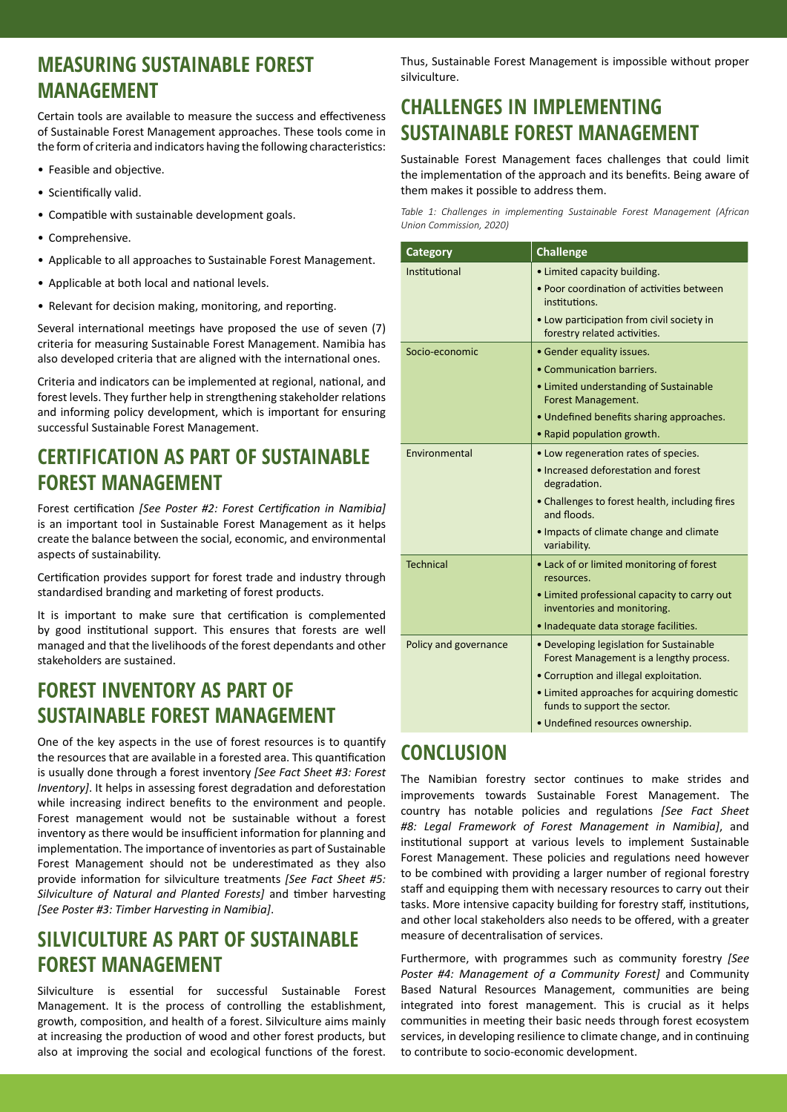### **MEASURING SUSTAINABLE FOREST MANAGEMENT**

Certain tools are available to measure the success and effectiveness of Sustainable Forest Management approaches. These tools come in the form of criteria and indicators having the following characteristics:

- Feasible and objective.
- Scientifically valid.
- Compatible with sustainable development goals.
- Comprehensive.
- Applicable to all approaches to Sustainable Forest Management.
- Applicable at both local and national levels.
- Relevant for decision making, monitoring, and reporting.

Several international meetings have proposed the use of seven (7) criteria for measuring Sustainable Forest Management. Namibia has also developed criteria that are aligned with the international ones.

Criteria and indicators can be implemented at regional, national, and forest levels. They further help in strengthening stakeholder relations and informing policy development, which is important for ensuring successful Sustainable Forest Management.

### **CERTIFICATION AS PART OF SUSTAINABLE FOREST MANAGEMENT**

Forest certification *[See Poster #2: Forest Certification in Namibia]*  is an important tool in Sustainable Forest Management as it helps create the balance between the social, economic, and environmental aspects of sustainability.

Certification provides support for forest trade and industry through standardised branding and marketing of forest products.

It is important to make sure that certification is complemented by good institutional support. This ensures that forests are well managed and that the livelihoods of the forest dependants and other stakeholders are sustained.

### **FOREST INVENTORY AS PART OF SUSTAINABLE FOREST MANAGEMENT**

One of the key aspects in the use of forest resources is to quantify the resources that are available in a forested area. This quantification is usually done through a forest inventory *[See Fact Sheet #3: Forest Inventory]*. It helps in assessing forest degradation and deforestation while increasing indirect benefits to the environment and people. Forest management would not be sustainable without a forest inventory as there would be insufficient information for planning and implementation. The importance of inventories as part of Sustainable Forest Management should not be underestimated as they also provide information for silviculture treatments *[See Fact Sheet #5: Silviculture of Natural and Planted Forests]* and timber harvesting *[See Poster #3: Timber Harvesting in Namibia]*.

## **SILVICULTURE AS PART OF SUSTAINABLE FOREST MANAGEMENT**

Silviculture is essential for successful Sustainable Forest Management. It is the process of controlling the establishment, growth, composition, and health of a forest. Silviculture aims mainly at increasing the production of wood and other forest products, but also at improving the social and ecological functions of the forest. Thus, Sustainable Forest Management is impossible without proper silviculture.

## **CHALLENGES IN IMPLEMENTING SUSTAINABLE FOREST MANAGEMENT**

Sustainable Forest Management faces challenges that could limit the implementation of the approach and its benefits. Being aware of them makes it possible to address them.

*Table 1: Challenges in implementing Sustainable Forest Management (African Union Commission, 2020)*

| <b>Category</b>       | <b>Challenge</b>                                                                    |
|-----------------------|-------------------------------------------------------------------------------------|
| Institutional         | • Limited capacity building.                                                        |
|                       | • Poor coordination of activities between<br>institutions.                          |
|                       | • Low participation from civil society in<br>forestry related activities.           |
| Socio-economic        | • Gender equality issues.                                                           |
|                       | • Communication barriers.                                                           |
|                       | • Limited understanding of Sustainable<br>Forest Management.                        |
|                       | • Undefined benefits sharing approaches.                                            |
|                       | • Rapid population growth.                                                          |
| Environmental         | • Low regeneration rates of species.                                                |
|                       | • Increased deforestation and forest<br>degradation.                                |
|                       | • Challenges to forest health, including fires<br>and floods.                       |
|                       | • Impacts of climate change and climate<br>variability.                             |
| <b>Technical</b>      | • Lack of or limited monitoring of forest<br>resources.                             |
|                       | • Limited professional capacity to carry out<br>inventories and monitoring.         |
|                       | · Inadequate data storage facilities.                                               |
| Policy and governance | • Developing legislation for Sustainable<br>Forest Management is a lengthy process. |
|                       | • Corruption and illegal exploitation.                                              |
|                       | • Limited approaches for acquiring domestic<br>funds to support the sector.         |
|                       | · Undefined resources ownership.                                                    |

### **CONCLUSION**

The Namibian forestry sector continues to make strides and improvements towards Sustainable Forest Management. The country has notable policies and regulations *[See Fact Sheet #8: Legal Framework of Forest Management in Namibia]*, and institutional support at various levels to implement Sustainable Forest Management. These policies and regulations need however to be combined with providing a larger number of regional forestry staff and equipping them with necessary resources to carry out their tasks. More intensive capacity building for forestry staff, institutions, and other local stakeholders also needs to be offered, with a greater measure of decentralisation of services.

Furthermore, with programmes such as community forestry *[See Poster #4: Management of a Community Forest]* and Community Based Natural Resources Management, communities are being integrated into forest management. This is crucial as it helps communities in meeting their basic needs through forest ecosystem services, in developing resilience to climate change, and in continuing to contribute to socio-economic development.